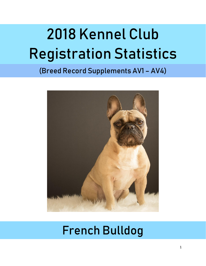# 2018 Kennel Club Registration Statistics

# (Breed Record Supplements AV1 – AV4)



# French Bulldog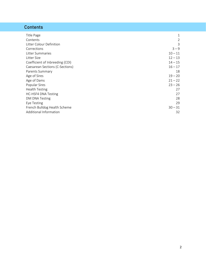# **Contents**

| Title Page                      | 1              |
|---------------------------------|----------------|
| Contents                        | $\overline{2}$ |
| Litter Colour Definition        | 3              |
| Corrections                     | $3 - 9$        |
| Litter Summaries                | $10 - 11$      |
| Litter Size                     | $12 - 13$      |
| Coefficient of Inbreeding (COI) | $14 - 15$      |
| Caesarean Sections (C-Sections) | $16 - 17$      |
| Parents Summary                 | 18             |
| Age of Sires                    | $19 - 20$      |
| Age of Dams                     | $21 - 22$      |
| Popular Sires                   | $23 - 26$      |
| <b>Health Testing</b>           | 27             |
| <b>HC-HSF4 DNA Testing</b>      | 27             |
| DM DNA Testing                  | 28             |
| Eye Testing                     | 29             |
| French Bulldog Health Scheme    | $30 - 31$      |
| Additional Information          | 32             |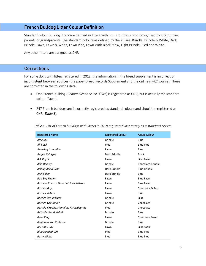# French Bulldog Litter Colour Definition

Standard colour bulldog litters are defined as litters with no CNR (Colour Not Recognised by KC) puppies, parents or grandparents. The standard colours as defined by the KC are: Brindle, Brindle & White, Dark Brindle, Fawn, Fawn & White, Fawn Pied, Fawn With Black Mask, Light Brindle, Pied and White.

Any other litters are assigned as CNR.

# Corrections

For some dogs with litters registered in 2018, the information in the breed supplement is incorrect or inconsistent between sources (the paper Breed Records Supplement and the online myKC source). These are corrected in the following data.

- One French bulldog (*Renuar Ocean Soleil D'Ore*) is registered as CNR, but is actually the standard colour 'Fawn'.
- 247 French bulldogs are incorrectly registered as standard colours and should be registered as CNR (*Table 1*).

| <b>Registered Name</b>                         | <b>Registered Colour</b> | <b>Actual Colour</b>     |
|------------------------------------------------|--------------------------|--------------------------|
| Alfie Blu                                      | <b>Brindle</b>           | Blue                     |
| All Cecil                                      | Pied                     | <b>Blue Pied</b>         |
| Amazing Armadillo                              | Fawn                     | Blue                     |
| Angels Whisper                                 | Dark Brindle             | <b>Black</b>             |
| Ark Royal                                      | Fawn                     | Lilac Fawn               |
| Asia Beauty                                    | <b>Brindle</b>           | <b>Chocolate Brindle</b> |
| Aslaug Alicia Rose                             | Dark Brindle             | <b>Blue Brindle</b>      |
| Axel Foley                                     | Dark Brindle             | Blue                     |
| <b>Bad Boy Fawny</b>                           | Fawn                     | <b>Blue Fawn</b>         |
| Baron Iz Russkoj Skazki At Frenchkisses        | Fawn                     | <b>Blue Fawn</b>         |
| <b>Baron's Boy</b>                             | Fawn                     | Chocolate & Tan          |
| <b>Bartley Wilson</b>                          | Fawn                     | Blue                     |
| <b>Bastille Ore Jackpot</b>                    | <b>Brindle</b>           | Lilac                    |
| <b>Bastille-Ore Junior</b>                     | <b>Brindle</b>           | Chocolate                |
| <b>Bastille-Ore Marshmallow At Celticpride</b> | Pied                     | Chocolate                |
| <b>B-Crody Von Bad-Bull</b>                    | <b>Brindle</b>           | Blue                     |
| <b>Bebe King</b>                               | Fawn                     | Chocolate Fawn           |
| Benjamin Von Crebison                          | <b>Brindle</b>           | Blue                     |
| Blu Baby Boy                                   | Fawn                     | Lilac Sable              |
| <b>Blue Headed Girl</b>                        | Pied                     | <b>Blue Pied</b>         |
| <b>Betty Midler</b>                            | Pied                     | <b>Blue Pied</b>         |

*Table 1. List of French bulldogs with litters in 2018 registered incorrectly as a standard colour.*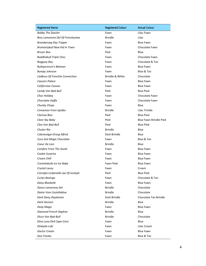| <b>Registered Name</b>              | <b>Registered Colour</b> | <b>Actual Colour</b>          |
|-------------------------------------|--------------------------|-------------------------------|
| <b>Bobby The Dazzler</b>            | Fawn                     | Lilac Fawn                    |
| Boss Lamorena Del Of Frenchyview    | <b>Brindle</b>           | Lilac                         |
| <b>Brandarsaig Day Tripper</b>      | Fawn                     | <b>Blue Fawn</b>              |
| Bromartybull New Kid In Town        | Fawn                     | Chocolate Fawn                |
| <b>Bruser Box</b>                   | Pied                     | Blue                          |
| <b>Buddhabull Triple Choc</b>       | Fawn                     | Chocolate Fawn                |
| <b>Buggsey Boy</b>                  | Fawn                     | Chocolate & Tan               |
| <b>Bullspectrum's Batman</b>        | Fawn                     | <b>Blue Fawn</b>              |
| <b>Bumpy Johnson</b>                | Fawn                     | Blue & Tan                    |
| Cadbury Of Frenchie Connection      | Brindle & White          | Chocolate                     |
| Caesars Palace                      | Fawn                     | <b>Blue Fawn</b>              |
| <b>Californian Cassius</b>          | Fawn                     | <b>Blue Fawn</b>              |
| Candy Von Bad-Bull                  | Pied                     | <b>Blue Pied</b>              |
| Choc Holiday                        | Fawn                     | Chocolate Fawn                |
| Chocolate Gaffa                     | Fawn                     | Chocolate Fawn                |
| Chunky Chops                        | Fawn                     | Blue                          |
| Cinnamon From Spolbo                | <b>Brindle</b>           | Lilac Trindle                 |
| Clarissa Bluz                       | Pied                     | <b>Blue Pied</b>              |
| Clear Sky Baby                      | Pied                     | <b>Blue Fawn Brindle Pied</b> |
| Cleo Von Bad-Bull                   | Pied                     | <b>Blue Pied</b>              |
| Cluster Rio                         | <b>Brindle</b>           | Blue                          |
| Cobravolgyi-Orseg Alfred            | Dark Brindle             | Blue                          |
| Coco Got Magic Chocolate            | Fawn                     | Blue & Tan                    |
| Coeur De Lion                       | <b>Brindle</b>           | Blue                          |
| Comfort From The South              | Fawn                     | <b>Blue Fawn</b>              |
| Cookie Surprise                     | Fawn                     | <b>Blue Fawn</b>              |
| Cream Chill                         | Fawn                     | <b>Blue Fawn</b>              |
| Cremelobullz Ice Ice Baby           | Fawn Pied                | <b>Blue Fawn</b>              |
| Crystal Lacey                       | Fawn                     | Cream                         |
| Cseraljai Lesbenallo Joe Of Justeph | Pied                     | <b>Blue Pied</b>              |
| Curlys Bazinga                      | Fawn                     | Chocolate & Tan               |
| Daisy Bluebelle                     | Fawn                     | <b>Blue Fawn</b>              |
| Dance Lamorena Del                  | <b>Brindle</b>           | Chocolate                     |
| Dante Vom Castelloblue              | <b>Brindle</b>           | Chocolate                     |
| Dark Daisy Daydream                 | Dark Brindle             | Chocolate Tan Brindle         |
| Dark Horizon                        | <b>Brindle</b>           | Blue                          |
| Deep Magic                          | Fawn                     | <b>Blue Fawn</b>              |
| Diamond French Daphne               | <b>Brindle</b>           | Blue                          |
| Dicco Von Bad-Bull                  | <b>Brindle</b>           | Chocolate                     |
| Dina Luna Dell Capo-Caro            | Fawn                     | Blue                          |
| Dinkydiz Loki                       | Fawn                     | Lilac Cream                   |
| Doctor Cream                        | Fawn                     | <b>Blue Fawn</b>              |
| Don Franko                          | Fawn                     | Blue & Tan                    |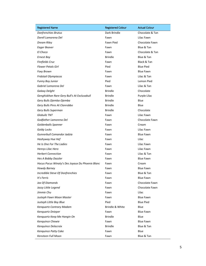| <b>Registered Name</b>                           | <b>Registered Colour</b> | <b>Actual Colour</b> |
|--------------------------------------------------|--------------------------|----------------------|
| Donfrenchies Brutus                              | Dark Brindle             | Chocolate & Tan      |
| Dorell Lamorena Del                              | Fawn                     | Lilac Fawn           |
| Dream Riley                                      | Fawn Pied                | Chocolate Fawn       |
| Eager Beaver                                     | Fawn                     | Blue & Tan           |
| El Choco                                         | Fawn                     | Chocolate & Tan      |
| <b>Ernest Boy</b>                                | <b>Brindle</b>           | Blue & Tan           |
| Firefields Cruz                                  | Fawn                     | Black & Tan          |
| <b>Flower Petals Girl</b>                        | Pied                     | <b>Blue Pied</b>     |
| Foxy Brown                                       | Fawn                     | <b>Blue Fawn</b>     |
| Fridstail Olympiacos                             | Fawn                     | Lilac & Tan          |
| Funny Boy Junior                                 | Pied                     | Lemon Pied           |
| Gabriel Lamorena Del                             | Fawn                     | Lilac & Tan          |
| Galaxy Delght                                    | <b>Brindle</b>           | Chocolate            |
| Genghiskhan Rare Gery Bull's At Exclusabull      | <b>Brindle</b>           | Purple Lilac         |
| Gery Bulls Djemba-Djemba                         | <b>Brindle</b>           | Blue                 |
| Gery Bulls Pires At Clanrobbo                    | <b>Brindle</b>           | Blue                 |
| Gery Bulls Superman                              | <b>Brindle</b>           | Chocolate            |
| Globullz TNT                                     | Fawn                     | Lilac Fawn           |
| Godfather Lamorena Del                           | Fawn                     | Chocolate Fawn       |
| Goldenballs Spanner                              | Fawn                     | Cream                |
| Goldy Locks                                      | Fawn                     | Lilac Fawn           |
| Gunnerbull Comandor Jadzia                       | Fawn                     | <b>Blue Fawn</b>     |
| Hashyway Hue Hef                                 | Fawn                     | Lilac                |
| He Is One For The Ladies                         | Fawn                     | Lilac Fawn           |
| Henrys Lilac Hero                                | Fawn                     | Lilac Fawn           |
| <b>Herbert Connection</b>                        | Fawn                     | Lilac & Tan          |
| Hes A Bobby Dazzler                              | Fawn                     | <b>Blue Fawn</b>     |
| Hocus Pocus Winaty's Des Joyaux Du Phoenix Blanc | Fawn                     | Cream                |
| Howdy Barney                                     | Fawn                     | <b>Blue Fawn</b>     |
| Incredible Steve Of Donfrenchies                 | Fawn                     | Blue & Tan           |
| It's Ferris                                      | Fawn                     | <b>Blue Fawn</b>     |
| Jax Of Diamonds                                  | Fawn                     | Chocolate Fawn       |
| Jazzy Little Legend                              | Fawn                     | Chocolate Fawn       |
| Jimmie Chu                                       | Fawn                     | Lilac                |
| Justeph Fawn Moon Master                         | Fawn                     | <b>Blue Fawn</b>     |
| Justeph Little Boy Blue                          | Pied                     | <b>Blue Pied</b>     |
| Kenquartz Contrary Madam                         | Brindle & White          | Blue                 |
| Kenguartz Dnieper                                | Fawn                     | <b>Blue Fawn</b>     |
| Kenguartz Keep Me Hangin On                      | <b>Brindle</b>           | Blue                 |
| Kenquince Chewie                                 | Fawn                     | <b>Blue Fawn</b>     |
| Kenquince Delacroix                              | <b>Brindle</b>           | Blue & Tan           |
| Kenguince Patty Cake                             | Fawn                     | Blue                 |
| Kensteen Full Moon                               | Fawn                     | Blue & Tan           |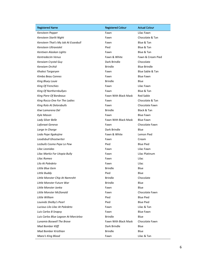| <b>Registered Name</b>               | <b>Registered Colour</b> | <b>Actual Colour</b> |
|--------------------------------------|--------------------------|----------------------|
| Kensteen Pepper                      | Fawn                     | Lilac Fawn           |
| Kensteen Starlit Night               | Fawn                     | Chocolate & Tan      |
| Kensteen That's My Job At Essexbull  | Fawn                     | Blue & Tan           |
| Kensteen Ultraviolet                 | Pied                     | Blue & Tan           |
| Kentixen Alaskan Lights              | Fawn                     | Blue & Tan           |
| Kentredecim Venus                    | Fawn & White             | Fawn & Cream Pied    |
| Kenxiam Crystal Guy                  | Dark Brindle             | Chocolate            |
| Kenxiam Orchid                       | <b>Brindle</b>           | <b>Blue Brindle</b>  |
| Khalesi Targaryen                    | Fawn                     | Blue Sable & Tan     |
| Kimba Beau Cannes                    | Fawn                     | <b>Blue Fawn</b>     |
| King Bluey Louie                     | <b>Brindle</b>           | Blue                 |
| King Of Frenchies                    | Fawn                     | Lilac Fawn           |
| King Of Northernbullyes              | Fawn                     | Blue & Tan           |
| King Piere Of Bordeaux               | Fawn With Black Mask     | <b>Red Sable</b>     |
| King Rocco One For The Ladies        | Fawn                     | Chocolate & Tan      |
| King Rolo At Delorabulls             | Fawn                     | Chocolate Fawn       |
| Kiwi Lamorena Del                    | <b>Brindle</b>           | Black & Tan          |
| Kyle Mason                           | Fawn                     | <b>Blue Fawn</b>     |
| Lady Silver Belle                    | Fawn With Black Mask     | <b>Blue Fawn</b>     |
| Laforaat Geneva                      | Fawn                     | Chocolate Fawn       |
| Large In Charge                      | Dark Brindle             | Blue                 |
| Leda Pepe Ilgakojine                 | Fawn & White             | Lemon Pied           |
| Leodisbull Ghostwriter               | Fawn                     | Cream                |
| Lezbullz Cosmo Pepe Le Pew           | Pied                     | <b>Blue Pied</b>     |
| Lilac Leonidas                       | Fawn                     | Lilac Fawn           |
| Lilac Markiz For Utopia Bully        | Fawn                     | Lilac Platinum       |
| Lilac Romeo                          | Fawn                     | Lilac                |
| Lilo At Paledeto                     | Fawn                     | Lilac                |
| Little Blue Gem                      | <b>Brindle</b>           | Blue                 |
| Little Buddy                         | Pied                     | Blue                 |
| Little Monster Chip At Namroht       | <b>Brindle</b>           | Chocolate            |
| Little Monster Future War            | <b>Brindle</b>           | Blue                 |
| Little Monster Janka                 | Fawn                     | Blue                 |
| Little Monster McDonald              | Fawn                     | Chocolate Fawn       |
| Little William                       | Pied                     | <b>Blue Pied</b>     |
| Louivids Shelby's Pearl              | Pied                     | <b>Blue Pied</b>     |
| Lucious Lilo Lilac At Paledeto       | Fawn                     | Lilac & Tan          |
| Luis Carlos B Snapsy                 | Fawn                     | <b>Blue Fawn</b>     |
| Luis Carlos Blue Lagoon At Marcieloo | <b>Brindle</b>           | Blue                 |
| <b>Lunamix Boswell The Brave</b>     | Fawn With Black Mask     | Chocolate Fawn       |
| <b>Mad Bomber Kliff</b>              | Dark Brindle             | Blue                 |
| Mad Bomber Kristhian                 | <b>Brindle</b>           | Blue                 |
| Maeo's King Blood                    | Fawn                     | Lilac & Tan          |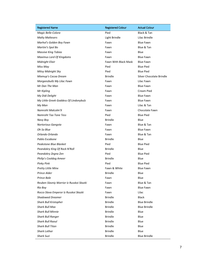| <b>Registered Name</b>                   | <b>Registered Colour</b> | <b>Actual Colour</b>     |
|------------------------------------------|--------------------------|--------------------------|
| Magic Belle-Colora                       | Pied                     | Black & Tan              |
| <b>Malty Maltesers</b>                   | Light Brindle            | Lilac Brindle            |
| Marhol's Golden Boy Fawn                 | Fawn                     | <b>Blue Fawn</b>         |
| Martini's Spol Bo                        | Fawn                     | Blue & Tan               |
| <b>Massive King Tobias</b>               | Fawn                     | Blue                     |
| Maximus Lord Of Kingdoms                 | Fawn                     | <b>Blue Fawn</b>         |
| Midnight Elixir                          | Fawn With Black Mask     | <b>Blue Fawn</b>         |
| Miss May                                 | Pied                     | <b>Blue Pied</b>         |
| Mitsy Midnight Sky                       | Pied                     | <b>Blue Pied</b>         |
| Mixmup's Cocoa Dream                     | <b>Brindle</b>           | Silver Chocolate Brindle |
| Morganzbullz My Lilac Fawn               | Fawn                     | Lilac Fawn               |
| Mr Dan The Man                           | Fawn                     | <b>Blue Fawn</b>         |
| Mr Kipling                               | Fawn                     | Cream Pied               |
| My Didi Delight                          | Fawn                     | <b>Blue Fawn</b>         |
| My Little Greek Goddess Of Lindonybulz   | Fawn                     | <b>Blue Fawn</b>         |
| My Man                                   | Fawn                     | Lilac & Tan              |
| Namroht Malcolm'X                        | Fawn                     | Chocolate Fawn           |
| Namroht Too Tone Tess                    | Pied                     | <b>Blue Pied</b>         |
| Navy Boy                                 | <b>Brindle</b>           | Blue                     |
| Nortorious Gangsta                       | Fawn                     | Blue & Tan               |
| Oh So Blue                               | Fawn                     | <b>Blue Fawn</b>         |
| Orlando Orlando                          | Fawn                     | Blue & Tan               |
| Pablo Escabone                           | <b>Brindle</b>           | Blue                     |
| Peakstone Blue Blanket                   | Pied                     | <b>Blue Pied</b>         |
| Peandokry King Of Rock N'Roll            | <b>Brindle</b>           | Blue                     |
| Peandokry Zegna Zen                      | Pied                     | <b>Blue Pied</b>         |
| Philip's Cooldog Ameer                   | <b>Brindle</b>           | Blue                     |
| <b>Pinky Pink</b>                        | Pied                     | <b>Blue Pied</b>         |
| Pretty Little Minx                       | Fawn & White             | <b>Blue Fawn</b>         |
| Prince Alder                             | <b>Brindle</b>           | Blue                     |
| Prince Bale                              | Fawn                     | Blue                     |
| Reuben Slavniy Warrior Iz Russkoi Skazki | Fawn                     | Blue & Tan               |
| <b>Rio Boy</b>                           | Fawn                     | <b>Blue Fawn</b>         |
| Rocco Slava Emperor Iz Russkoi Skazki    | Fawn                     | Lilac                    |
| <b>Shadowed Dreamer</b>                  | <b>Brindle</b>           | <b>Black</b>             |
| <b>Shark Bull Kristopher</b>             | <b>Brindle</b>           | <b>Blue Brindle</b>      |
| <b>Shark Bull Max</b>                    | <b>Brindle</b>           | <b>Blue Brindle</b>      |
| <b>Shark Bull Minnie</b>                 | <b>Brindle</b>           | Blue                     |
| <b>Shark Bull Ranger</b>                 | <b>Brindle</b>           | Blue                     |
| <b>Shark Bull Raoul</b>                  | <b>Brindle</b>           | Blue                     |
| <b>Shark Bull Titan</b>                  | <b>Brindle</b>           | Blue                     |
| Shark Lothar                             | <b>Brindle</b>           | Blue                     |
| <b>Shark Suzi</b>                        | <b>Brindle</b>           | <b>Blue Brindle</b>      |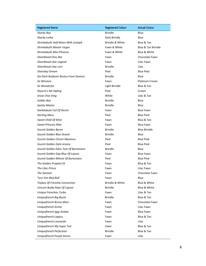| <b>Registered Name</b>                | <b>Registered Colour</b> | <b>Actual Colour</b>  |  |
|---------------------------------------|--------------------------|-----------------------|--|
| Sharky Boy                            | <b>Brindle</b>           | Blue                  |  |
| Sharky Lotha                          | Dark Brindle             | Blue                  |  |
| Shrinkabulls Half Moon With Justeph   | Brindle & White          | Blue & Tan            |  |
| Shrinkabulls Master Vegas             | Fawn & White             | Blue & Tan Brindle    |  |
| Shrinkabulls Miss Phoenix             | Fawn & White             | Blue & White          |  |
| Silverblood Choc Bar                  | Fawn                     | Chocolate Fawn        |  |
| Silverblood Lilac Legend              | Fawn                     | Lilac Fawn            |  |
| Silverblood Lilac Levi                | <b>Brindle</b>           | Lilac                 |  |
| Silverday Dream                       | Pied                     | <b>Blue Pied</b>      |  |
| Sio-Parti Buldozer Brutus From Gamico | <b>Brindle</b>           | Blue                  |  |
| Sir Winston                           | Fawn                     | <b>Platinum Cream</b> |  |
| Sir Wonderful                         | Light Brindle            | Blue & Tan            |  |
| Skyarm's Mr Kipling                   | Pied                     | Cream                 |  |
| <b>Snow Choc King</b>                 | White                    | Lilac & Tan           |  |
| Soilder Boy                           | <b>Brindle</b>           | Blue                  |  |
| <b>Spotty Master</b>                  | <b>Brindle</b>           | Blue                  |  |
| <b>Starblubulls Full Of Desire</b>    | Fawn                     | <b>Blue Fawn</b>      |  |
| <b>Sterling Moss</b>                  | Pied                     | <b>Blue Pied</b>      |  |
| Sweet Child Of Mine                   | Fawn                     | Blue & Tan            |  |
| <b>Sweet Princess Mae</b>             | Fawn                     | <b>Blue Fawn</b>      |  |
| Szureti Golden Baron                  | <b>Brindle</b>           | <b>Blue Brindle</b>   |  |
| Szureti Golden Blue Dream             | <b>Brindle</b>           | Blue                  |  |
| Szureti Golden Chrom Maximus          | Pied                     | <b>Blue Pied</b>      |  |
| Szureti Golden Dark Jessica           | Pied                     | <b>Blue Pied</b>      |  |
| Szureti Golden Eden Tom Of Burtonians | <b>Brindle</b>           | Blue                  |  |
| Szureti Golden Gap Blue Of Lajuno     | Fawn                     | <b>Blue Fawn</b>      |  |
| Szureti Golden Minnie Of Burtonians   | Pied                     | <b>Blue Pied</b>      |  |
| The Golden Prophet Eli                | Fawn                     | Blue & Tan            |  |
| The Lilac Prince                      | Fawn                     | Lilac Fawn            |  |
| The Samiad                            | Fawn                     | Chocolate Fawn        |  |
| Toro Von Bad-Bull                     | Fawn                     | Blue                  |  |
| <b>Toyboy Of Frenchie Connection</b>  | Brindle & White          | Blue & White          |  |
| Unicum Buldy Pepe Of Lajuno           | <b>Brindle</b>           | Blue & White          |  |
| Unique Frenchies Turbo                | Fawn                     | Lilac & Tan           |  |
| Uniquefrench Big Bucks                | <b>Brindle</b>           | Blue & Tan            |  |
| Uniquefrench Bruno Mars               | Fawn                     | Chocolate Fawn        |  |
| Uniquefrench Grime                    | Fawn                     | Lilac Fawn            |  |
| Uniquefrench Iggy Azalea              | Fawn                     | <b>Blue Fawn</b>      |  |
| Uniquefrench Legacy                   | Fawn                     | Blue & Tan            |  |
| Uniquefrench Leonardo                 | Fawn                     | Lilac                 |  |
| Uniquefrench My Super Ted             | Fawn                     | Blue & Tan            |  |
| Uniquefrench Perfection               | <b>Brindle</b>           | Blue & Tan            |  |
| Uniquefrench Purple Kenzo             | Fawn                     | Lilac                 |  |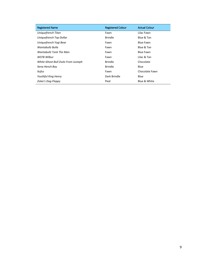| <b>Registered Name</b>              | <b>Registered Colour</b> | <b>Actual Colour</b> |
|-------------------------------------|--------------------------|----------------------|
| Uniquefrench Titan                  | Fawn                     | Lilac Fawn           |
| Uniquefrench Top Dollar             | <b>Brindle</b>           | Blue & Tan           |
| Uniquefrench Yogi Bear              | Fawn                     | Blue Fawn            |
| Wantabullz Bulla                    | Fawn                     | Blue & Tan           |
| Wantabullz Tonk The Man             | Fawn                     | Blue Fawn            |
| WCFB Wilbur                         | Fawn                     | Lilac & Tan          |
| White-Ghost-Bull Zsolo From Justeph | <b>Brindle</b>           | Chocolate            |
| Xena Hench Boy                      | <b>Brindle</b>           | Blue                 |
| Xufus                               | Fawn                     | Chocolate Fawn       |
| <b>Youthful King Henry</b>          | Dark Brindle             | <b>Blue</b>          |
| Zolee's Dog-Floppy                  | Pied                     | Blue & White         |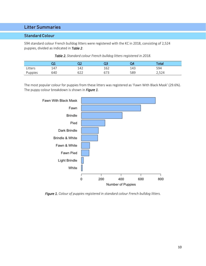# Litter Summaries

#### Standard Colour

594 standard colour French bulldog litters were registered with the KC in 2018, consisting of 2,524 puppies, divided as indicated in *Table 2*.

|         | ∽   |            |     | )4  | Total         |
|---------|-----|------------|-----|-----|---------------|
| Litters | 147 | 142        | 162 | 143 | 594           |
| Puppies | 640 | 622<br>◡∠∠ | 673 | 589 | 521<br>ム, フムー |

The most popular colour for puppies from these litters was registered as 'Fawn With Black Mask' (29.6%). The puppy colour breakdown is shown in *Figure 1*.



*Figure 1. Colour of puppies registered in standard colour French bulldog litters.*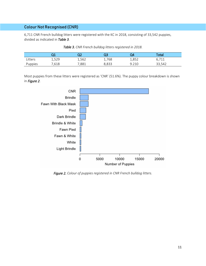6,711 CNR French bulldog litters were registered with the KC in 2018, consisting of 33,542 puppies, divided as indicated in *Table 3*.

|         | ∽     | רר<br>∽ | QЗ    | 24    | Total       |  |
|---------|-------|---------|-------|-------|-------------|--|
| Litters | 1,529 | 1,562   | 1,768 | 1,852 | C 711<br>ᆠᆂ |  |
| Puppies | ,618  | ,881    | 8,833 | 9.210 | 33,542      |  |

*Table 3. CNR French bulldog litters registered in 2018.*

Most puppies from these litters were registered as 'CNR' (51.6%). The puppy colour breakdown is shown in *Figure 2*.



*Figure 2. Colour of puppies registered in CNR French bulldog litters.*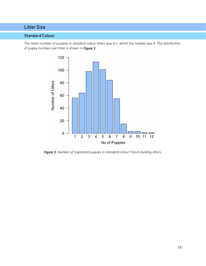# Litter Size

## Standard Colour

The mean number of puppies in standard colour litters was 4.2, whilst the median was 4. The distribution of puppy numbers per litter is shown in *Figure 3*.



*Figure 3. Number of registered puppies in standard colour French bulldog litters.*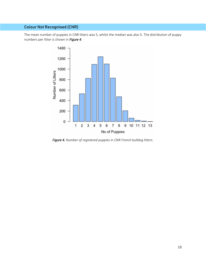The mean number of puppies in CNR litters was 5, whilst the median was also 5. The distribution of puppy numbers per litter is shown in *Figure 4*.



*Figure 4. Number of registered puppies in CNR French bulldog litters.*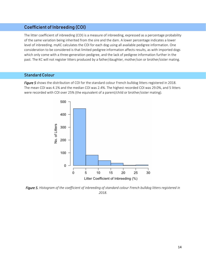# Coefficient of Inbreeding (COI)

The litter coefficient of inbreeding (COI) is a measure of inbreeding, expressed as a percentage probability of the same variation being inherited from the sire and the dam. A lower percentage indicates a lower level of inbreeding. myKC calculates the COI for each dog using all available pedigree information. One consideration to be considered is that limited pedigree information affects results, as with imported dogs which only come with a three-generation pedigree, and the lack of pedigree information further in the past. The KC will not register litters produced by a father/daughter, mother/son or brother/sister mating.

#### Standard Colour

*Figure 5* shows the distribution of COI for the standard colour French bulldog litters registered in 2018. The mean COI was 4.1% and the median COI was 2.4%. The highest recorded COI was 29.0%, and 5 litters were recorded with COI over 25% (the equivalent of a parent/child or brother/sister mating).



*Figure 5. Histogram of the coefficient of inbreeding of standard colour French bulldog litters registered in 2018.*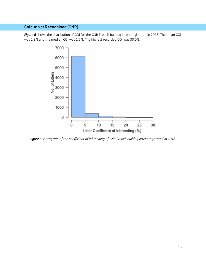*Figure 6* shows the distribution of COI for the CNR French bulldog litters registered in 2018. The mean COI was 2.3% and the median COI was 1.5%. The highest recorded COI was 30.0%.



*Figure 6. Histogram of the coefficient of inbreeding of CNR French bulldog litters registered in 2018.*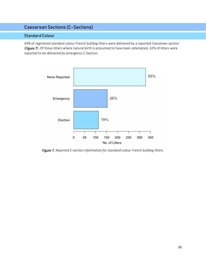# Caesarean Sections (C-Sections)

#### Standard Colour

44% of registered standard colour French bulldog litters were delivered by a reported Caesarean section (*Figure 7*). Of those litters where natural birth is presumed to have been attempted, 32% of litters were reported to be delivered by emergency C-Section.



*Figure 7. Reported C-section information for standard colour French bulldog litters.*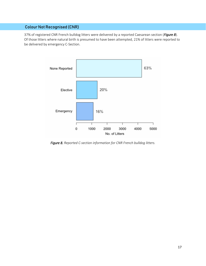37% of registered CNR French bulldog litters were delivered by a reported Caesarean section (*Figure 8*). Of those litters where natural birth is presumed to have been attempted, 21% of litters were reported to be delivered by emergency C-Section.



*Figure 8. Reported C-section information for CNR French bulldog litters.*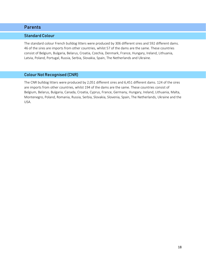#### Standard Colour

The standard colour French bulldog litters were produced by 306 different sires and 592 different dams. 46 of the sires are imports from other countries, whilst 57 of the dams are the same. These countries consist of Belgium, Bulgaria, Belarus, Croatia, Czechia, Denmark, France, Hungary, Ireland, Lithuania, Latvia, Poland, Portugal, Russia, Serbia, Slovakia, Spain, The Netherlands and Ukraine.

#### Colour Not Recognised (CNR)

The CNR bulldog litters were produced by 2,051 different sires and 6,451 different dams. 124 of the sires are imports from other countries, whilst 194 of the dams are the same. These countries consist of Belgium, Belarus, Bulgaria, Canada, Croatia, Cyprus, France, Germany, Hungary, Ireland, Lithuania, Malta, Montenegro, Poland, Romania, Russia, Serbia, Slovakia, Slovenia, Spain, The Netherlands, Ukraine and the USA.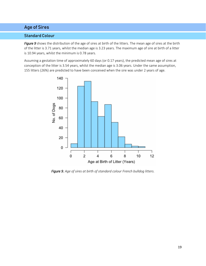# Age of Sires

#### Standard Colour

*Figure 9* shows the distribution of the age of sires at birth of the litters. The mean age of sires at the birth of the litter is 3.71 years, whilst the median age is 3.23 years. The maximum age of sire at birth of a litter is 10.94 years, whilst the minimum is 0.78 years.

Assuming a gestation time of approximately 60 days (or 0.17 years), the predicted mean age of sires at conception of the litter is 3.54 years, whilst the median age is 3.06 years. Under the same assumption, 155 litters (26%) are predicted to have been conceived when the sire was under 2 years of age.



*Figure 9. Age of sires at birth of standard colour French bulldog litters.*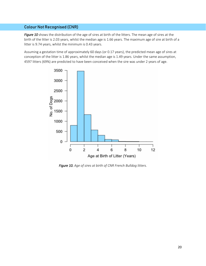*Figure 10* shows the distribution of the age of sires at birth of the litters. The mean age of sires at the birth of the litter is 2.03 years, whilst the median age is 1.66 years. The maximum age of sire at birth of a litter is 9.74 years, whilst the minimum is 0.43 years.

Assuming a gestation time of approximately 60 days (or 0.17 years), the predicted mean age of sires at conception of the litter is 1.86 years, whilst the median age is 1.49 years. Under the same assumption, 4597 litters (69%) are predicted to have been conceived when the sire was under 2 years of age.



*Figure 10. Age of sires at birth of CNR French Bulldog litters.*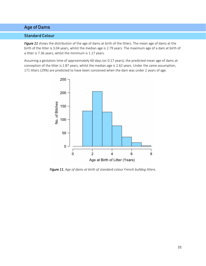# Age of Dams

#### Standard Colour

*Figure 11* shows the distribution of the age of dams at birth of the litters. The mean age of dams at the birth of the litter is 3.04 years, whilst the median age is 2.79 years. The maximum age of a dam at birth of a litter is 7.36 years, whilst the minimum is 1.17 years.

Assuming a gestation time of approximately 60 days (or 0.17 years), the predicted mean age of dams at conception of the litter is 2.87 years, whilst the median age is 2.62 years. Under the same assumption, 171 litters (29%) are predicted to have been conceived when the dam was under 2 years of age.



*Figure 11. Age of dams at birth of standard colour French bulldog litters.*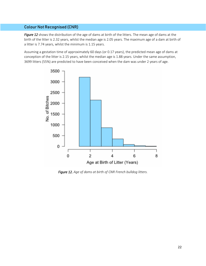*Figure 12* shows the distribution of the age of dams at birth of the litters. The mean age of dams at the birth of the litter is 2.32 years, whilst the median age is 2.05 years. The maximum age of a dam at birth of a litter is 7.74 years, whilst the minimum is 1.15 years.

Assuming a gestation time of approximately 60 days (or 0.17 years), the predicted mean age of dams at conception of the litter is 2.15 years, whilst the median age is 1.88 years. Under the same assumption, 3699 litters (55%) are predicted to have been conceived when the dam was under 2 years of age.



*Figure 12. Age of dams at birth of CNR French bulldog litters.*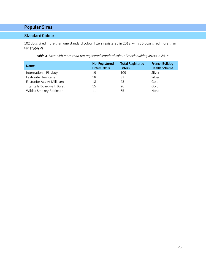# Popular Sires

### Standard Colour

102 dogs sired more than one standard colour litters registered in 2018, whilst 5 dogs sired more than ten (*Table 4*).

*Table 4. Sires with more than ten registered standard colour French bulldog litters in 2018.*

| <b>Name</b>                | No. Registered<br>Litters 2018 | <b>Total Registered</b><br>Litters | <b>French Bulldog</b><br><b>Health Scheme</b> |
|----------------------------|--------------------------------|------------------------------------|-----------------------------------------------|
| International Playboy      | 19                             | 109                                | Silver                                        |
| Eastonite Hurricane        | 18                             | 33                                 | Silver                                        |
| Eastonite Aca At Millaven  | 18                             | 43                                 | Gold                                          |
| Titantails Boardwalk Bulet | 15                             | 26                                 | Gold                                          |
| Wildax Smokey Robinson     | 11                             | 65                                 | None                                          |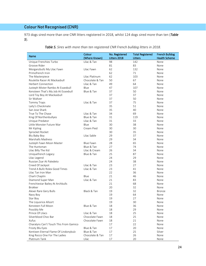973 dogs sired more than one CNR litters registered in 2018, whilst 124 dogs sired more than ten (*Table 5*).

|                                        | Colour          | No. Registered | <b>Total Registered</b> | <b>French Bulldog</b> |
|----------------------------------------|-----------------|----------------|-------------------------|-----------------------|
| Name                                   | (Where Known)   | Litters 2018   | Litters                 | <b>Health Scheme</b>  |
| Unique Frenchies Turbo                 | Lilac & Tan     | 98             | 142                     | None                  |
| Groove Rider                           |                 | 81             | 83                      | None                  |
| Morganzbullz My Lilac Fawn             | Lilac Fawn      | 62             | 132                     | None                  |
| Primofrench Irvin                      |                 | 62             | 71                      | None                  |
| The Masterpiece                        | Lilac Platinum  | 62             | 103                     | None                  |
| Roulette Racer At Mackasbull           | Chocolate & Tan | 50             | 67                      | None                  |
| <b>Herbert Connection</b>              | Lilac & Tan     | 49             | 64                      | None                  |
| Justeph Mister Rambo At Essexbull      | Blue            | 47             | 107                     | None                  |
| Kensteen That's My Job At Essexbull    | Blue & Tan      | 37             | 50                      | None                  |
| Lord Toy Boy At Mackasbull             |                 | 37             | 37                      | None                  |
| Sir Waltzer                            |                 | 37             | 50                      | None                  |
| Tommy Traps                            | Lilac & Tan     | 37             | 75                      | None                  |
| Laity's Checkmate                      |                 | 35             | 51                      | None                  |
| San Jose Shark                         |                 | 35             | 40                      | None                  |
| True To The Chase                      | Lilac & Tan     | 34             | 69                      | None                  |
| King Of Northenbullyes                 | Blue & Tan      | 31             | 119                     | None                  |
| Unique Predator                        | Lilac & Tan     | 31             | 33                      | None                  |
| Little Monster Future War              | Blue            | 30             | 38                      | None                  |
| Mr Kipling                             | Cream Pied      | 30             | 30                      | None                  |
| Sprocket Rocket                        |                 | 30             | 35                      | None                  |
| Blu Baby Boy                           | Lilac Sable     | 29             | 37                      | None                  |
| Marshalls Madness                      |                 | 29             | 34                      | None                  |
| Justeph Fawn Moon Master               | Blue Fawn       | 28             | 65                      | None                  |
| The Huntsman                           | Blue & Tan      | 27             | 74                      | None                  |
| Lilac Billy The Kid                    | Lilac & Cream   | 26             | 34                      | None                  |
| Uniquefrench Legacy                    | Blue & Tan      | 25             | 87                      | None                  |
| Lilac Legend                           |                 | 24             | 29                      | None                  |
| Russian Zsar At Paledeto               |                 | 24             | 38                      | None                  |
| Creed Of Jackpot                       | Lilac & Tan     | 23             | 27                      | None                  |
| Trend A Bullz Rolex Good Times         | Lilac & Tan     | 23             | 41                      | None                  |
| Lilac Tan Iron Man                     |                 | 22             | 36                      | None                  |
| Charli Chaplin                         | Blue            | 21             | 46                      | None                  |
| Diamond Super Man                      | Lilac & Tan     | 21             | 83                      | None                  |
| Frenchiestar Bailey At Archbulls       |                 | 21             | 68                      | None                  |
| <b>Brokker</b>                         |                 | 20             | 32                      | None                  |
| Alexei Rare Gery Bulls                 | Black & Tan     | 19             | 32                      | <b>Bronze</b>         |
| Navy Boy                               |                 | 19             | 64                      | None                  |
| Star Boy                               |                 | 19             | 27                      | None                  |
| The Liquorice Allsort                  |                 | 19             | 30                      | None                  |
| Kensteen Full Moon                     | Blue & Tan      | 18             | 36                      | None                  |
| Possibly Me                            |                 | 18             | 29                      | None                  |
| Prince Of Lilacs                       | Lilac & Tan     | 18             | 25                      | None                  |
| Silverblood Choc Bar                   | Chocolate Fawn  | 18             | 25                      | None                  |
| Xufus                                  | Chocolate Fawn  | 18             | 21                      | None                  |
| Charalyns Can't Touch This From Gamico |                 | 17             | 22                      | None                  |
| Frosty Blu Eyes                        | Blue & Tan      | 17             | 20                      | None                  |
| Kentixen Eternal Flame Of Lindonybulz  | Blue & Tan      | 17             | 25                      | Silver                |
| King Rocco One For The Ladies          | Chocolate & Tan | 17             | 26                      | None                  |
| Platinum Tank                          | Lilac           | 17             | 20                      | None                  |

*Table 5. Sires with more than ten registered CNR French bulldog litters in 2018.*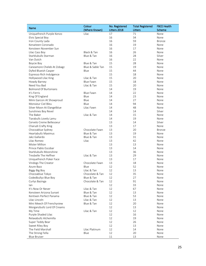| (Where Known)<br>Litters 2018<br>Scheme<br>Litters<br>Uniquefrench Purple Kenzo<br>17<br>71<br>Lilac<br>None<br>16<br>34<br>Elvis Special Boy<br>None<br>59<br>Iron County Lada<br>16<br>Bronze<br>Kenaiteen Coronado<br>16<br>19<br>None<br>Kensteen November Sun<br>16<br>17<br>None<br>Black & Tan<br>16<br>26<br>Lilac Cass Boy<br>None<br>Starblubulls Starman<br>Blue & Tan<br>Silver<br>16<br>28<br>Van Dutch<br>16<br>22<br>None<br>Blue & Tan<br>15<br>28<br>None<br>Boycie Boy<br>Caneamore Cheleb At Zobagz<br>Blue & Sable Tan<br>15<br>19<br>None<br>15<br>44<br>Dyfed Blueish Casper<br>Blue<br>None<br>15<br>Espresso Rich Indulgence<br>18<br>None<br>Lilac & Tan<br>15<br>20<br>Hollywood Lilac King<br>None<br><b>Blue Fawn</b><br>Howdy Barney<br>15<br>18<br>None<br>Need You Bad<br>Lilac & Tan<br>15<br>20<br>None<br><b>Bolmond Of Burtonians</b><br>14<br>19<br>None<br>22<br>It's Ferris<br>Blue Fawn<br>14<br>None<br>Blue<br>23<br>King Of England<br>14<br>None<br>Blue<br>27<br>Mimi Garcon At Showproud<br>14<br>None<br>Monsieur Ciel Bleu<br>Blue<br>94<br>14<br>None<br>Silver Moon At Elangelblue<br>Lilac Fawn<br>14<br>48<br>None<br>Silver<br>Sunshines Boy Revel<br>14<br>14<br>The Baker<br>Lilac & Tan<br>15<br>14<br>None<br>Tiarabulls Lovely Lamu<br>14<br>19<br>None<br>Cervelo Creme Bellesoeur<br>Silver<br>13<br>14<br>Charudi Crafty King<br>13<br>17<br>None<br>Chocoablue Sydney<br>Chocolate Fawn<br>13<br>20<br>Bronze<br>Heartabullz Maximus<br>Blue & Tan<br>13<br>19<br>None<br>Blue & Tan<br>31<br>Jakz Gallardo<br>13<br>None<br>Lilac<br>Lilac Romeo<br>13<br>42<br>None<br>Mister Million<br>13<br>13<br>None<br>Prince Pablo Escobar<br>13<br>14<br>None<br>Starblubulls Moonshine<br>13<br>36<br>None<br>Tresbelle The Heffner<br>Lilac & Tan<br>13<br>29<br>None<br>Uniquefrench Poker Face<br>13<br>17<br>None<br>Chocolate Fawn<br>18<br>Vindogs The Creator<br>13<br>None<br>Azure Bazz<br>Blue<br>12<br>52<br>None<br>Lilac & Tan<br>12<br>13<br>Biggy Big Boy<br>None<br>35<br>Chocoablue Tokyo<br>12<br>Chocolate & Tan<br>None<br>Codedbullyz Blue Boy<br>Blue & Tan<br>12<br>27<br>None<br>Chocolate & Tan<br>Curlys Bazinga<br>12<br>91<br>None<br>33<br>lan<br>12<br>None<br>It's Now Or Never<br>Lilac & Tan<br>12<br>67<br>None<br>Blue & Tan<br>Kensteen Arizona Sunset<br>12<br>13<br>None<br>53<br>Kentixen Perfect Panama<br>Blue & Tan<br>12<br>None<br>Lilac Lincoln<br>Lilac & Tan<br>12<br>13<br>None<br>Mini Meech Of Frenchyview<br>Blue & Tan<br>12<br>20<br>None<br>Morganzbullz Lord Of Creams<br>12<br>13<br>None<br>Lilac & Tan<br>12<br>My Time<br>12<br>None<br>Purple Shaded Lilac<br>12<br>16<br>None<br>Relaxabullz Alchemilla<br>12<br>19<br>None<br>Super Teddy Bear<br>12<br>26<br>None<br>12<br>13<br>Sweet Riley Boy<br>None<br>The Field Marshall<br>Lilac Platinum<br>12<br>14<br>None<br>The Strong Fella<br>12<br>Blue<br>20<br>None | Name                | Colour | No. Registered | <b>Total Registered</b> | <b>FBCE Health</b> |
|---------------------------------------------------------------------------------------------------------------------------------------------------------------------------------------------------------------------------------------------------------------------------------------------------------------------------------------------------------------------------------------------------------------------------------------------------------------------------------------------------------------------------------------------------------------------------------------------------------------------------------------------------------------------------------------------------------------------------------------------------------------------------------------------------------------------------------------------------------------------------------------------------------------------------------------------------------------------------------------------------------------------------------------------------------------------------------------------------------------------------------------------------------------------------------------------------------------------------------------------------------------------------------------------------------------------------------------------------------------------------------------------------------------------------------------------------------------------------------------------------------------------------------------------------------------------------------------------------------------------------------------------------------------------------------------------------------------------------------------------------------------------------------------------------------------------------------------------------------------------------------------------------------------------------------------------------------------------------------------------------------------------------------------------------------------------------------------------------------------------------------------------------------------------------------------------------------------------------------------------------------------------------------------------------------------------------------------------------------------------------------------------------------------------------------------------------------------------------------------------------------------------------------------------------------------------------------------------------------------------------------------------------------------------------------------------------------------------------------------------------------------------------------------------------------------------------------------------------------------------------------------------------------------------------------------------|---------------------|--------|----------------|-------------------------|--------------------|
|                                                                                                                                                                                                                                                                                                                                                                                                                                                                                                                                                                                                                                                                                                                                                                                                                                                                                                                                                                                                                                                                                                                                                                                                                                                                                                                                                                                                                                                                                                                                                                                                                                                                                                                                                                                                                                                                                                                                                                                                                                                                                                                                                                                                                                                                                                                                                                                                                                                                                                                                                                                                                                                                                                                                                                                                                                                                                                                                             |                     |        |                |                         |                    |
|                                                                                                                                                                                                                                                                                                                                                                                                                                                                                                                                                                                                                                                                                                                                                                                                                                                                                                                                                                                                                                                                                                                                                                                                                                                                                                                                                                                                                                                                                                                                                                                                                                                                                                                                                                                                                                                                                                                                                                                                                                                                                                                                                                                                                                                                                                                                                                                                                                                                                                                                                                                                                                                                                                                                                                                                                                                                                                                                             |                     |        |                |                         |                    |
|                                                                                                                                                                                                                                                                                                                                                                                                                                                                                                                                                                                                                                                                                                                                                                                                                                                                                                                                                                                                                                                                                                                                                                                                                                                                                                                                                                                                                                                                                                                                                                                                                                                                                                                                                                                                                                                                                                                                                                                                                                                                                                                                                                                                                                                                                                                                                                                                                                                                                                                                                                                                                                                                                                                                                                                                                                                                                                                                             |                     |        |                |                         |                    |
|                                                                                                                                                                                                                                                                                                                                                                                                                                                                                                                                                                                                                                                                                                                                                                                                                                                                                                                                                                                                                                                                                                                                                                                                                                                                                                                                                                                                                                                                                                                                                                                                                                                                                                                                                                                                                                                                                                                                                                                                                                                                                                                                                                                                                                                                                                                                                                                                                                                                                                                                                                                                                                                                                                                                                                                                                                                                                                                                             |                     |        |                |                         |                    |
|                                                                                                                                                                                                                                                                                                                                                                                                                                                                                                                                                                                                                                                                                                                                                                                                                                                                                                                                                                                                                                                                                                                                                                                                                                                                                                                                                                                                                                                                                                                                                                                                                                                                                                                                                                                                                                                                                                                                                                                                                                                                                                                                                                                                                                                                                                                                                                                                                                                                                                                                                                                                                                                                                                                                                                                                                                                                                                                                             |                     |        |                |                         |                    |
|                                                                                                                                                                                                                                                                                                                                                                                                                                                                                                                                                                                                                                                                                                                                                                                                                                                                                                                                                                                                                                                                                                                                                                                                                                                                                                                                                                                                                                                                                                                                                                                                                                                                                                                                                                                                                                                                                                                                                                                                                                                                                                                                                                                                                                                                                                                                                                                                                                                                                                                                                                                                                                                                                                                                                                                                                                                                                                                                             |                     |        |                |                         |                    |
|                                                                                                                                                                                                                                                                                                                                                                                                                                                                                                                                                                                                                                                                                                                                                                                                                                                                                                                                                                                                                                                                                                                                                                                                                                                                                                                                                                                                                                                                                                                                                                                                                                                                                                                                                                                                                                                                                                                                                                                                                                                                                                                                                                                                                                                                                                                                                                                                                                                                                                                                                                                                                                                                                                                                                                                                                                                                                                                                             |                     |        |                |                         |                    |
|                                                                                                                                                                                                                                                                                                                                                                                                                                                                                                                                                                                                                                                                                                                                                                                                                                                                                                                                                                                                                                                                                                                                                                                                                                                                                                                                                                                                                                                                                                                                                                                                                                                                                                                                                                                                                                                                                                                                                                                                                                                                                                                                                                                                                                                                                                                                                                                                                                                                                                                                                                                                                                                                                                                                                                                                                                                                                                                                             |                     |        |                |                         |                    |
|                                                                                                                                                                                                                                                                                                                                                                                                                                                                                                                                                                                                                                                                                                                                                                                                                                                                                                                                                                                                                                                                                                                                                                                                                                                                                                                                                                                                                                                                                                                                                                                                                                                                                                                                                                                                                                                                                                                                                                                                                                                                                                                                                                                                                                                                                                                                                                                                                                                                                                                                                                                                                                                                                                                                                                                                                                                                                                                                             |                     |        |                |                         |                    |
|                                                                                                                                                                                                                                                                                                                                                                                                                                                                                                                                                                                                                                                                                                                                                                                                                                                                                                                                                                                                                                                                                                                                                                                                                                                                                                                                                                                                                                                                                                                                                                                                                                                                                                                                                                                                                                                                                                                                                                                                                                                                                                                                                                                                                                                                                                                                                                                                                                                                                                                                                                                                                                                                                                                                                                                                                                                                                                                                             |                     |        |                |                         |                    |
|                                                                                                                                                                                                                                                                                                                                                                                                                                                                                                                                                                                                                                                                                                                                                                                                                                                                                                                                                                                                                                                                                                                                                                                                                                                                                                                                                                                                                                                                                                                                                                                                                                                                                                                                                                                                                                                                                                                                                                                                                                                                                                                                                                                                                                                                                                                                                                                                                                                                                                                                                                                                                                                                                                                                                                                                                                                                                                                                             |                     |        |                |                         |                    |
|                                                                                                                                                                                                                                                                                                                                                                                                                                                                                                                                                                                                                                                                                                                                                                                                                                                                                                                                                                                                                                                                                                                                                                                                                                                                                                                                                                                                                                                                                                                                                                                                                                                                                                                                                                                                                                                                                                                                                                                                                                                                                                                                                                                                                                                                                                                                                                                                                                                                                                                                                                                                                                                                                                                                                                                                                                                                                                                                             |                     |        |                |                         |                    |
|                                                                                                                                                                                                                                                                                                                                                                                                                                                                                                                                                                                                                                                                                                                                                                                                                                                                                                                                                                                                                                                                                                                                                                                                                                                                                                                                                                                                                                                                                                                                                                                                                                                                                                                                                                                                                                                                                                                                                                                                                                                                                                                                                                                                                                                                                                                                                                                                                                                                                                                                                                                                                                                                                                                                                                                                                                                                                                                                             |                     |        |                |                         |                    |
|                                                                                                                                                                                                                                                                                                                                                                                                                                                                                                                                                                                                                                                                                                                                                                                                                                                                                                                                                                                                                                                                                                                                                                                                                                                                                                                                                                                                                                                                                                                                                                                                                                                                                                                                                                                                                                                                                                                                                                                                                                                                                                                                                                                                                                                                                                                                                                                                                                                                                                                                                                                                                                                                                                                                                                                                                                                                                                                                             |                     |        |                |                         |                    |
|                                                                                                                                                                                                                                                                                                                                                                                                                                                                                                                                                                                                                                                                                                                                                                                                                                                                                                                                                                                                                                                                                                                                                                                                                                                                                                                                                                                                                                                                                                                                                                                                                                                                                                                                                                                                                                                                                                                                                                                                                                                                                                                                                                                                                                                                                                                                                                                                                                                                                                                                                                                                                                                                                                                                                                                                                                                                                                                                             |                     |        |                |                         |                    |
|                                                                                                                                                                                                                                                                                                                                                                                                                                                                                                                                                                                                                                                                                                                                                                                                                                                                                                                                                                                                                                                                                                                                                                                                                                                                                                                                                                                                                                                                                                                                                                                                                                                                                                                                                                                                                                                                                                                                                                                                                                                                                                                                                                                                                                                                                                                                                                                                                                                                                                                                                                                                                                                                                                                                                                                                                                                                                                                                             |                     |        |                |                         |                    |
|                                                                                                                                                                                                                                                                                                                                                                                                                                                                                                                                                                                                                                                                                                                                                                                                                                                                                                                                                                                                                                                                                                                                                                                                                                                                                                                                                                                                                                                                                                                                                                                                                                                                                                                                                                                                                                                                                                                                                                                                                                                                                                                                                                                                                                                                                                                                                                                                                                                                                                                                                                                                                                                                                                                                                                                                                                                                                                                                             |                     |        |                |                         |                    |
|                                                                                                                                                                                                                                                                                                                                                                                                                                                                                                                                                                                                                                                                                                                                                                                                                                                                                                                                                                                                                                                                                                                                                                                                                                                                                                                                                                                                                                                                                                                                                                                                                                                                                                                                                                                                                                                                                                                                                                                                                                                                                                                                                                                                                                                                                                                                                                                                                                                                                                                                                                                                                                                                                                                                                                                                                                                                                                                                             |                     |        |                |                         |                    |
|                                                                                                                                                                                                                                                                                                                                                                                                                                                                                                                                                                                                                                                                                                                                                                                                                                                                                                                                                                                                                                                                                                                                                                                                                                                                                                                                                                                                                                                                                                                                                                                                                                                                                                                                                                                                                                                                                                                                                                                                                                                                                                                                                                                                                                                                                                                                                                                                                                                                                                                                                                                                                                                                                                                                                                                                                                                                                                                                             |                     |        |                |                         |                    |
|                                                                                                                                                                                                                                                                                                                                                                                                                                                                                                                                                                                                                                                                                                                                                                                                                                                                                                                                                                                                                                                                                                                                                                                                                                                                                                                                                                                                                                                                                                                                                                                                                                                                                                                                                                                                                                                                                                                                                                                                                                                                                                                                                                                                                                                                                                                                                                                                                                                                                                                                                                                                                                                                                                                                                                                                                                                                                                                                             |                     |        |                |                         |                    |
|                                                                                                                                                                                                                                                                                                                                                                                                                                                                                                                                                                                                                                                                                                                                                                                                                                                                                                                                                                                                                                                                                                                                                                                                                                                                                                                                                                                                                                                                                                                                                                                                                                                                                                                                                                                                                                                                                                                                                                                                                                                                                                                                                                                                                                                                                                                                                                                                                                                                                                                                                                                                                                                                                                                                                                                                                                                                                                                                             |                     |        |                |                         |                    |
|                                                                                                                                                                                                                                                                                                                                                                                                                                                                                                                                                                                                                                                                                                                                                                                                                                                                                                                                                                                                                                                                                                                                                                                                                                                                                                                                                                                                                                                                                                                                                                                                                                                                                                                                                                                                                                                                                                                                                                                                                                                                                                                                                                                                                                                                                                                                                                                                                                                                                                                                                                                                                                                                                                                                                                                                                                                                                                                                             |                     |        |                |                         |                    |
|                                                                                                                                                                                                                                                                                                                                                                                                                                                                                                                                                                                                                                                                                                                                                                                                                                                                                                                                                                                                                                                                                                                                                                                                                                                                                                                                                                                                                                                                                                                                                                                                                                                                                                                                                                                                                                                                                                                                                                                                                                                                                                                                                                                                                                                                                                                                                                                                                                                                                                                                                                                                                                                                                                                                                                                                                                                                                                                                             |                     |        |                |                         |                    |
|                                                                                                                                                                                                                                                                                                                                                                                                                                                                                                                                                                                                                                                                                                                                                                                                                                                                                                                                                                                                                                                                                                                                                                                                                                                                                                                                                                                                                                                                                                                                                                                                                                                                                                                                                                                                                                                                                                                                                                                                                                                                                                                                                                                                                                                                                                                                                                                                                                                                                                                                                                                                                                                                                                                                                                                                                                                                                                                                             |                     |        |                |                         |                    |
|                                                                                                                                                                                                                                                                                                                                                                                                                                                                                                                                                                                                                                                                                                                                                                                                                                                                                                                                                                                                                                                                                                                                                                                                                                                                                                                                                                                                                                                                                                                                                                                                                                                                                                                                                                                                                                                                                                                                                                                                                                                                                                                                                                                                                                                                                                                                                                                                                                                                                                                                                                                                                                                                                                                                                                                                                                                                                                                                             |                     |        |                |                         |                    |
|                                                                                                                                                                                                                                                                                                                                                                                                                                                                                                                                                                                                                                                                                                                                                                                                                                                                                                                                                                                                                                                                                                                                                                                                                                                                                                                                                                                                                                                                                                                                                                                                                                                                                                                                                                                                                                                                                                                                                                                                                                                                                                                                                                                                                                                                                                                                                                                                                                                                                                                                                                                                                                                                                                                                                                                                                                                                                                                                             |                     |        |                |                         |                    |
|                                                                                                                                                                                                                                                                                                                                                                                                                                                                                                                                                                                                                                                                                                                                                                                                                                                                                                                                                                                                                                                                                                                                                                                                                                                                                                                                                                                                                                                                                                                                                                                                                                                                                                                                                                                                                                                                                                                                                                                                                                                                                                                                                                                                                                                                                                                                                                                                                                                                                                                                                                                                                                                                                                                                                                                                                                                                                                                                             |                     |        |                |                         |                    |
|                                                                                                                                                                                                                                                                                                                                                                                                                                                                                                                                                                                                                                                                                                                                                                                                                                                                                                                                                                                                                                                                                                                                                                                                                                                                                                                                                                                                                                                                                                                                                                                                                                                                                                                                                                                                                                                                                                                                                                                                                                                                                                                                                                                                                                                                                                                                                                                                                                                                                                                                                                                                                                                                                                                                                                                                                                                                                                                                             |                     |        |                |                         |                    |
|                                                                                                                                                                                                                                                                                                                                                                                                                                                                                                                                                                                                                                                                                                                                                                                                                                                                                                                                                                                                                                                                                                                                                                                                                                                                                                                                                                                                                                                                                                                                                                                                                                                                                                                                                                                                                                                                                                                                                                                                                                                                                                                                                                                                                                                                                                                                                                                                                                                                                                                                                                                                                                                                                                                                                                                                                                                                                                                                             |                     |        |                |                         |                    |
|                                                                                                                                                                                                                                                                                                                                                                                                                                                                                                                                                                                                                                                                                                                                                                                                                                                                                                                                                                                                                                                                                                                                                                                                                                                                                                                                                                                                                                                                                                                                                                                                                                                                                                                                                                                                                                                                                                                                                                                                                                                                                                                                                                                                                                                                                                                                                                                                                                                                                                                                                                                                                                                                                                                                                                                                                                                                                                                                             |                     |        |                |                         |                    |
|                                                                                                                                                                                                                                                                                                                                                                                                                                                                                                                                                                                                                                                                                                                                                                                                                                                                                                                                                                                                                                                                                                                                                                                                                                                                                                                                                                                                                                                                                                                                                                                                                                                                                                                                                                                                                                                                                                                                                                                                                                                                                                                                                                                                                                                                                                                                                                                                                                                                                                                                                                                                                                                                                                                                                                                                                                                                                                                                             |                     |        |                |                         |                    |
|                                                                                                                                                                                                                                                                                                                                                                                                                                                                                                                                                                                                                                                                                                                                                                                                                                                                                                                                                                                                                                                                                                                                                                                                                                                                                                                                                                                                                                                                                                                                                                                                                                                                                                                                                                                                                                                                                                                                                                                                                                                                                                                                                                                                                                                                                                                                                                                                                                                                                                                                                                                                                                                                                                                                                                                                                                                                                                                                             |                     |        |                |                         |                    |
|                                                                                                                                                                                                                                                                                                                                                                                                                                                                                                                                                                                                                                                                                                                                                                                                                                                                                                                                                                                                                                                                                                                                                                                                                                                                                                                                                                                                                                                                                                                                                                                                                                                                                                                                                                                                                                                                                                                                                                                                                                                                                                                                                                                                                                                                                                                                                                                                                                                                                                                                                                                                                                                                                                                                                                                                                                                                                                                                             |                     |        |                |                         |                    |
|                                                                                                                                                                                                                                                                                                                                                                                                                                                                                                                                                                                                                                                                                                                                                                                                                                                                                                                                                                                                                                                                                                                                                                                                                                                                                                                                                                                                                                                                                                                                                                                                                                                                                                                                                                                                                                                                                                                                                                                                                                                                                                                                                                                                                                                                                                                                                                                                                                                                                                                                                                                                                                                                                                                                                                                                                                                                                                                                             |                     |        |                |                         |                    |
|                                                                                                                                                                                                                                                                                                                                                                                                                                                                                                                                                                                                                                                                                                                                                                                                                                                                                                                                                                                                                                                                                                                                                                                                                                                                                                                                                                                                                                                                                                                                                                                                                                                                                                                                                                                                                                                                                                                                                                                                                                                                                                                                                                                                                                                                                                                                                                                                                                                                                                                                                                                                                                                                                                                                                                                                                                                                                                                                             |                     |        |                |                         |                    |
|                                                                                                                                                                                                                                                                                                                                                                                                                                                                                                                                                                                                                                                                                                                                                                                                                                                                                                                                                                                                                                                                                                                                                                                                                                                                                                                                                                                                                                                                                                                                                                                                                                                                                                                                                                                                                                                                                                                                                                                                                                                                                                                                                                                                                                                                                                                                                                                                                                                                                                                                                                                                                                                                                                                                                                                                                                                                                                                                             |                     |        |                |                         |                    |
|                                                                                                                                                                                                                                                                                                                                                                                                                                                                                                                                                                                                                                                                                                                                                                                                                                                                                                                                                                                                                                                                                                                                                                                                                                                                                                                                                                                                                                                                                                                                                                                                                                                                                                                                                                                                                                                                                                                                                                                                                                                                                                                                                                                                                                                                                                                                                                                                                                                                                                                                                                                                                                                                                                                                                                                                                                                                                                                                             |                     |        |                |                         |                    |
|                                                                                                                                                                                                                                                                                                                                                                                                                                                                                                                                                                                                                                                                                                                                                                                                                                                                                                                                                                                                                                                                                                                                                                                                                                                                                                                                                                                                                                                                                                                                                                                                                                                                                                                                                                                                                                                                                                                                                                                                                                                                                                                                                                                                                                                                                                                                                                                                                                                                                                                                                                                                                                                                                                                                                                                                                                                                                                                                             |                     |        |                |                         |                    |
|                                                                                                                                                                                                                                                                                                                                                                                                                                                                                                                                                                                                                                                                                                                                                                                                                                                                                                                                                                                                                                                                                                                                                                                                                                                                                                                                                                                                                                                                                                                                                                                                                                                                                                                                                                                                                                                                                                                                                                                                                                                                                                                                                                                                                                                                                                                                                                                                                                                                                                                                                                                                                                                                                                                                                                                                                                                                                                                                             |                     |        |                |                         |                    |
|                                                                                                                                                                                                                                                                                                                                                                                                                                                                                                                                                                                                                                                                                                                                                                                                                                                                                                                                                                                                                                                                                                                                                                                                                                                                                                                                                                                                                                                                                                                                                                                                                                                                                                                                                                                                                                                                                                                                                                                                                                                                                                                                                                                                                                                                                                                                                                                                                                                                                                                                                                                                                                                                                                                                                                                                                                                                                                                                             |                     |        |                |                         |                    |
|                                                                                                                                                                                                                                                                                                                                                                                                                                                                                                                                                                                                                                                                                                                                                                                                                                                                                                                                                                                                                                                                                                                                                                                                                                                                                                                                                                                                                                                                                                                                                                                                                                                                                                                                                                                                                                                                                                                                                                                                                                                                                                                                                                                                                                                                                                                                                                                                                                                                                                                                                                                                                                                                                                                                                                                                                                                                                                                                             |                     |        |                |                         |                    |
|                                                                                                                                                                                                                                                                                                                                                                                                                                                                                                                                                                                                                                                                                                                                                                                                                                                                                                                                                                                                                                                                                                                                                                                                                                                                                                                                                                                                                                                                                                                                                                                                                                                                                                                                                                                                                                                                                                                                                                                                                                                                                                                                                                                                                                                                                                                                                                                                                                                                                                                                                                                                                                                                                                                                                                                                                                                                                                                                             |                     |        |                |                         |                    |
|                                                                                                                                                                                                                                                                                                                                                                                                                                                                                                                                                                                                                                                                                                                                                                                                                                                                                                                                                                                                                                                                                                                                                                                                                                                                                                                                                                                                                                                                                                                                                                                                                                                                                                                                                                                                                                                                                                                                                                                                                                                                                                                                                                                                                                                                                                                                                                                                                                                                                                                                                                                                                                                                                                                                                                                                                                                                                                                                             |                     |        |                |                         |                    |
|                                                                                                                                                                                                                                                                                                                                                                                                                                                                                                                                                                                                                                                                                                                                                                                                                                                                                                                                                                                                                                                                                                                                                                                                                                                                                                                                                                                                                                                                                                                                                                                                                                                                                                                                                                                                                                                                                                                                                                                                                                                                                                                                                                                                                                                                                                                                                                                                                                                                                                                                                                                                                                                                                                                                                                                                                                                                                                                                             |                     |        |                |                         |                    |
|                                                                                                                                                                                                                                                                                                                                                                                                                                                                                                                                                                                                                                                                                                                                                                                                                                                                                                                                                                                                                                                                                                                                                                                                                                                                                                                                                                                                                                                                                                                                                                                                                                                                                                                                                                                                                                                                                                                                                                                                                                                                                                                                                                                                                                                                                                                                                                                                                                                                                                                                                                                                                                                                                                                                                                                                                                                                                                                                             |                     |        |                |                         |                    |
|                                                                                                                                                                                                                                                                                                                                                                                                                                                                                                                                                                                                                                                                                                                                                                                                                                                                                                                                                                                                                                                                                                                                                                                                                                                                                                                                                                                                                                                                                                                                                                                                                                                                                                                                                                                                                                                                                                                                                                                                                                                                                                                                                                                                                                                                                                                                                                                                                                                                                                                                                                                                                                                                                                                                                                                                                                                                                                                                             |                     |        |                |                         |                    |
|                                                                                                                                                                                                                                                                                                                                                                                                                                                                                                                                                                                                                                                                                                                                                                                                                                                                                                                                                                                                                                                                                                                                                                                                                                                                                                                                                                                                                                                                                                                                                                                                                                                                                                                                                                                                                                                                                                                                                                                                                                                                                                                                                                                                                                                                                                                                                                                                                                                                                                                                                                                                                                                                                                                                                                                                                                                                                                                                             |                     |        |                |                         |                    |
|                                                                                                                                                                                                                                                                                                                                                                                                                                                                                                                                                                                                                                                                                                                                                                                                                                                                                                                                                                                                                                                                                                                                                                                                                                                                                                                                                                                                                                                                                                                                                                                                                                                                                                                                                                                                                                                                                                                                                                                                                                                                                                                                                                                                                                                                                                                                                                                                                                                                                                                                                                                                                                                                                                                                                                                                                                                                                                                                             |                     |        |                |                         |                    |
|                                                                                                                                                                                                                                                                                                                                                                                                                                                                                                                                                                                                                                                                                                                                                                                                                                                                                                                                                                                                                                                                                                                                                                                                                                                                                                                                                                                                                                                                                                                                                                                                                                                                                                                                                                                                                                                                                                                                                                                                                                                                                                                                                                                                                                                                                                                                                                                                                                                                                                                                                                                                                                                                                                                                                                                                                                                                                                                                             |                     |        |                |                         |                    |
|                                                                                                                                                                                                                                                                                                                                                                                                                                                                                                                                                                                                                                                                                                                                                                                                                                                                                                                                                                                                                                                                                                                                                                                                                                                                                                                                                                                                                                                                                                                                                                                                                                                                                                                                                                                                                                                                                                                                                                                                                                                                                                                                                                                                                                                                                                                                                                                                                                                                                                                                                                                                                                                                                                                                                                                                                                                                                                                                             |                     |        |                |                         |                    |
|                                                                                                                                                                                                                                                                                                                                                                                                                                                                                                                                                                                                                                                                                                                                                                                                                                                                                                                                                                                                                                                                                                                                                                                                                                                                                                                                                                                                                                                                                                                                                                                                                                                                                                                                                                                                                                                                                                                                                                                                                                                                                                                                                                                                                                                                                                                                                                                                                                                                                                                                                                                                                                                                                                                                                                                                                                                                                                                                             |                     |        |                |                         |                    |
|                                                                                                                                                                                                                                                                                                                                                                                                                                                                                                                                                                                                                                                                                                                                                                                                                                                                                                                                                                                                                                                                                                                                                                                                                                                                                                                                                                                                                                                                                                                                                                                                                                                                                                                                                                                                                                                                                                                                                                                                                                                                                                                                                                                                                                                                                                                                                                                                                                                                                                                                                                                                                                                                                                                                                                                                                                                                                                                                             |                     |        |                |                         |                    |
|                                                                                                                                                                                                                                                                                                                                                                                                                                                                                                                                                                                                                                                                                                                                                                                                                                                                                                                                                                                                                                                                                                                                                                                                                                                                                                                                                                                                                                                                                                                                                                                                                                                                                                                                                                                                                                                                                                                                                                                                                                                                                                                                                                                                                                                                                                                                                                                                                                                                                                                                                                                                                                                                                                                                                                                                                                                                                                                                             |                     |        |                |                         |                    |
|                                                                                                                                                                                                                                                                                                                                                                                                                                                                                                                                                                                                                                                                                                                                                                                                                                                                                                                                                                                                                                                                                                                                                                                                                                                                                                                                                                                                                                                                                                                                                                                                                                                                                                                                                                                                                                                                                                                                                                                                                                                                                                                                                                                                                                                                                                                                                                                                                                                                                                                                                                                                                                                                                                                                                                                                                                                                                                                                             |                     |        |                |                         |                    |
|                                                                                                                                                                                                                                                                                                                                                                                                                                                                                                                                                                                                                                                                                                                                                                                                                                                                                                                                                                                                                                                                                                                                                                                                                                                                                                                                                                                                                                                                                                                                                                                                                                                                                                                                                                                                                                                                                                                                                                                                                                                                                                                                                                                                                                                                                                                                                                                                                                                                                                                                                                                                                                                                                                                                                                                                                                                                                                                                             |                     |        |                |                         |                    |
|                                                                                                                                                                                                                                                                                                                                                                                                                                                                                                                                                                                                                                                                                                                                                                                                                                                                                                                                                                                                                                                                                                                                                                                                                                                                                                                                                                                                                                                                                                                                                                                                                                                                                                                                                                                                                                                                                                                                                                                                                                                                                                                                                                                                                                                                                                                                                                                                                                                                                                                                                                                                                                                                                                                                                                                                                                                                                                                                             |                     |        |                |                         |                    |
|                                                                                                                                                                                                                                                                                                                                                                                                                                                                                                                                                                                                                                                                                                                                                                                                                                                                                                                                                                                                                                                                                                                                                                                                                                                                                                                                                                                                                                                                                                                                                                                                                                                                                                                                                                                                                                                                                                                                                                                                                                                                                                                                                                                                                                                                                                                                                                                                                                                                                                                                                                                                                                                                                                                                                                                                                                                                                                                                             | <b>Blue Bruiser</b> |        | 11             | 13                      | None               |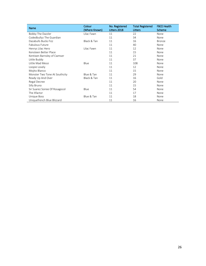| Name                           | Colour<br>(Where Known) | No. Registered<br>Litters 2018 | <b>Total Registered</b><br>Litters | <b>FBCE Health</b><br>Scheme |  |
|--------------------------------|-------------------------|--------------------------------|------------------------------------|------------------------------|--|
| Bobby The Dazzler              | Lilac Fawn              | 11                             | 22                                 | None                         |  |
| Codedbullyz The Guardian       |                         | 11                             | 34                                 | None                         |  |
| Dazabulls Bucks Fizz           | Black & Tan             | 11                             | 16                                 | <b>Bronze</b>                |  |
| Fabulous Future                |                         | 11                             | 40                                 | None                         |  |
| Henrys Lilac Hero              | Lilac Fawn              | 11                             | 12                                 | None                         |  |
| Kensteen Better Place          |                         | 11                             | 15                                 | None                         |  |
| Kentixen Barnsley of Cwmser    |                         | 11                             | 21                                 | None                         |  |
| Little Buddy                   |                         | 11                             | 37                                 | None                         |  |
| Little Mad Messi               | Blue                    | 11                             | 108                                | None                         |  |
| Loopie Lovely                  |                         | 11                             | 12                                 | None                         |  |
| Mojito Blanco                  |                         | 11                             | 15                                 | None                         |  |
| Monster Two Tone At Southcity  | Blue & Tan              | 11                             | 29                                 | None                         |  |
| Ready Up And Over              | Black & Tan             | 11                             | 16                                 | Gold                         |  |
| Regal Decree                   |                         | 11                             | 20                                 | None                         |  |
| Silly Bruno                    |                         | 11                             | 15                                 | None                         |  |
| Sir Suarez Soiree Of Rosagocol | Blue                    | 11                             | 54                                 | None                         |  |
| The Xfactor                    |                         | 11                             | 17                                 | None                         |  |
| Unique Boss                    | Blue & Tan              | 11                             | 18                                 | None                         |  |
| Uniquefrench Blue Blizzard     |                         | 11                             | 16                                 | None                         |  |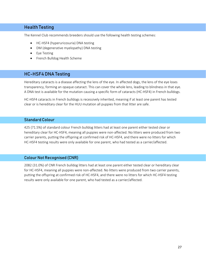# Health Testing

The Kennel Club recommends breeders should use the following health testing schemes:

- HC-HSF4 (hyperuricosuria) DNA testing
- DM (degenerative myelopathy) DNA testing
- Eye Testing
- French Bulldog Health Scheme

#### HC-HSF4 DNA Testing

Hereditary cataracts is a disease affecting the lens of the eye. In affected dogs, the lens of the eye loses transparency, forming an opaque cataract. This can cover the whole lens, leading to blindness in that eye. A DNA test is available for the mutation causing a specific form of cataracts (HC-HSF4) in French bulldogs.

HC-HSF4 cataracts in French bulldogs is recessively inherited, meaning if at least one parent has tested clear or is hereditary clear for the HUU mutation all puppies from that litter are safe.

#### Standard Colour

425 (71.5%) of standard colour French bulldog litters had at least one parent either tested clear or hereditary clear for HC-HSF4, meaning all puppies were non-affected. No litters were produced from two carrier parents, putting the offspring at confirmed risk of HC-HSF4, and there were no litters for which HC-HSF4 testing results were only available for one parent, who had tested as a carrier/affected.

#### Colour Not Recognised (CNR)

2082 (31.0%) of CNR French bulldog litters had at least one parent either tested clear or hereditary clear for HC-HSF4, meaning all puppies were non-affected. No litters were produced from two carrier parents, putting the offspring at confirmed risk of HC-HSF4, and there were no litters for which HC-HSF4 testing results were only available for one parent, who had tested as a carrier/affected.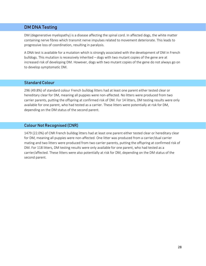# DM DNA Testing

DM (degenerative myelopathy) is a disease affecting the spinal cord. In affected dogs, the white matter containing nerve fibres which transmit nerve impulses related to movement deteriorate. This leads to progressive loss of coordination, resulting in paralysis.

A DNA test is available for a mutation which is strongly associated with the development of DM in French bulldogs. This mutation is recessively inherited – dogs with two mutant copies of the gene are at increased risk of developing DM. However, dogs with two mutant copies of the gene do not always go on to develop symptomatic DM.

#### Standard Colour

296 (49.8%) of standard colour French bulldog litters had at least one parent either tested clear or hereditary clear for DM, meaning all puppies were non-affected. No litters were produced from two carrier parents, putting the offspring at confirmed risk of DM. For 14 litters, DM testing results were only available for one parent, who had tested as a carrier. These litters were potentially at risk for DM, depending on the DM status of the second parent.

#### Colour Not Recognised (CNR)

1479 (22.0%) of CNR French bulldog litters had at least one parent either tested clear or hereditary clear for DM, meaning all puppies were non-affected. One litter was produced from a carrier/dual carrier mating and two litters were produced from two carrier parents, putting the offspring at confirmed risk of DM. For 118 litters, DM testing results were only available for one parent, who had tested as a carrier/affected. These litters were also potentially at risk for DM, depending on the DM status of the second parent.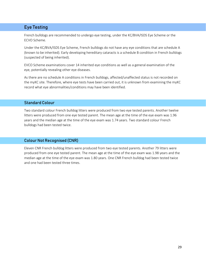# Eye Testing

French bulldogs are recommended to undergo eye testing, under the KC/BVA/ISDS Eye Scheme or the ECVO Scheme.

Under the KC/BVA/ISDS Eye Scheme, French bulldogs do not have any eye conditions that are schedule A (known to be inherited). Early developing hereditary cataracts is a schedule B condition in French bulldogs (suspected of being inherited).

EVCO Scheme examinations cover 14 inherited eye conditions as well as a general examination of the eye, potentially revealing other eye diseases.

As there are no schedule A conditions in French bulldogs, affected/unaffected status is not recorded on the myKC site. Therefore, where eye tests have been carried out, it is unknown from examining the myKC record what eye abnormalities/conditions may have been identified.

#### Standard Colour

Two standard colour French bulldog litters were produced from two eye tested parents. Another twelve litters were produced from one eye tested parent. The mean age at the time of the eye exam was 1.96 years and the median age at the time of the eye exam was 1.74 years. Two standard colour French bulldogs had been tested twice.

#### Colour Not Recognised (CNR)

Eleven CNR French bulldog litters were produced from two eye tested parents. Another 79 litters were produced from one eye tested parent. The mean age at the time of the eye exam was 1.98 years and the median age at the time of the eye exam was 1.80 years. One CNR French bulldog had been tested twice and one had been tested three times.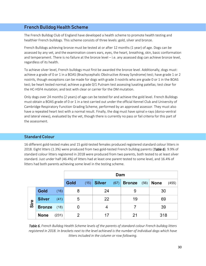# French Bulldog Health Scheme

The French Bulldog Club of England have developed a health scheme to promote health testing and healthier French bulldogs. This scheme consists of three levels: gold, silver and bronze.

French Bulldogs achieving bronze must be tested at or after 12 months (1 year) of age. Dogs can be assessed by any vet, and the examination covers ears, eyes, the heart, breathing, skin, basic conformation and temperament. There is no failure at the bronze level – i.e. any assessed dog can achieve bronze level, regardless of its health.

To achieve silver level, French bulldogs must first be awarded the bronze level. Additionally, dogs must: achieve a grade of 0 or 1 in a BOAS (Brachycephalic Obstructive Airway Syndrome) test; have grade 1 or 2 nostrils, though exceptions can be made for dogs with grade 3 nostrils who are grade 0 or 1 in the BOAS test; be heart tested normal; achieve a grade 0/1 Putnam test assessing luxating patellas; test clear for the HC-HSF4 mutation; and test with clear or carrier for the DM mutation.

Only dogs over 24 months (2 years) of age can be tested for and achieve the gold level. French Bulldogs must obtain a BOAS grade of 0 or 1 in a test carried out under the official Kennel Club and University of Cambridge Respiratory Function Grading Scheme, performed by an approved assessor. They must also have a repeated heart test with a normal result. Finally, the dog must have spinal x-rays (dorso-ventral and lateral views), evaluated by the vet, though there is currently no pass or fail criteria for this part of the assessment.

#### Standard Colour

16 different gold-tested males and 15 gold-tested females produced registered standard colour litters in 2018. Eight litters (1.3%) were produced from two gold-tested French bulldog parents (*Table 6*). 9.9% of standard colour litters registered in 2018 were produced from two parents, both tested to at least silver standard. Just under half (46.4%) of litters had at least one parent tested to some level, and 16.4% of litters had both parents achieving some level in the testing scheme.

|      |               |       | Dam  |      |               |      |               |      |             |       |
|------|---------------|-------|------|------|---------------|------|---------------|------|-------------|-------|
|      |               |       | Gold | (15) | <b>Silver</b> | (67) | <b>Bronze</b> | (56) | <b>None</b> | (455) |
|      | Gold          | (16)  | 8    |      | 24            |      | 9             |      | 30          |       |
| Sire | <b>Silver</b> | (41)  | 5    |      | 22            |      | 19            |      | 69          |       |
|      | <b>Bronze</b> | (18)  | O    |      |               |      |               |      | 39          |       |
|      | <b>None</b>   | (231) | 2    |      | 17            |      | 21            |      | 318         |       |

*Table 6. French Bulldog Health Scheme levels of the parents of standard colour French bulldog litters registered in 2018. In brackets next to the level achieved is the number of individual dogs which have litters included in the column or row following.*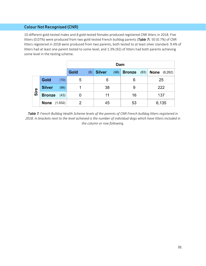10 different gold-tested males and 8 gold-tested females produced registered CNR litters in 2018. Five litters (0.07%) were produced from two gold-tested French bulldog parents (*Table 7*). 50 (0.7%) of CNR litters registered in 2018 were produced from two parents, both tested to at least silver standard. 9.4% of litters had at least one parent tested to some level, and 1.3% (92) of litters had both parents achieving some level in the testing scheme.

|      |                     |      | Dam         |                       |                       |                       |  |
|------|---------------------|------|-------------|-----------------------|-----------------------|-----------------------|--|
|      |                     |      | Gold<br>(8) | <b>Silver</b><br>(98) | <b>Bronze</b><br>(83) | <b>None</b> $(6,262)$ |  |
|      | Gold                | (10) | 5           | 6                     | 6                     | 25                    |  |
| Sire | <b>Silver</b>       | (66) |             | 38                    | 9                     | 222                   |  |
|      | <b>Bronze</b>       | (43) |             | 11                    | 16                    | 137                   |  |
|      | <b>None</b> (1,932) |      |             | 45                    | 53                    | 6,135                 |  |

*Table 7. French Bulldog Health Scheme levels of the parents of CNR French bulldog litters registered in 2018. In brackets next to the level achieved is the number of individual dogs which have litters included in the column or row following.*